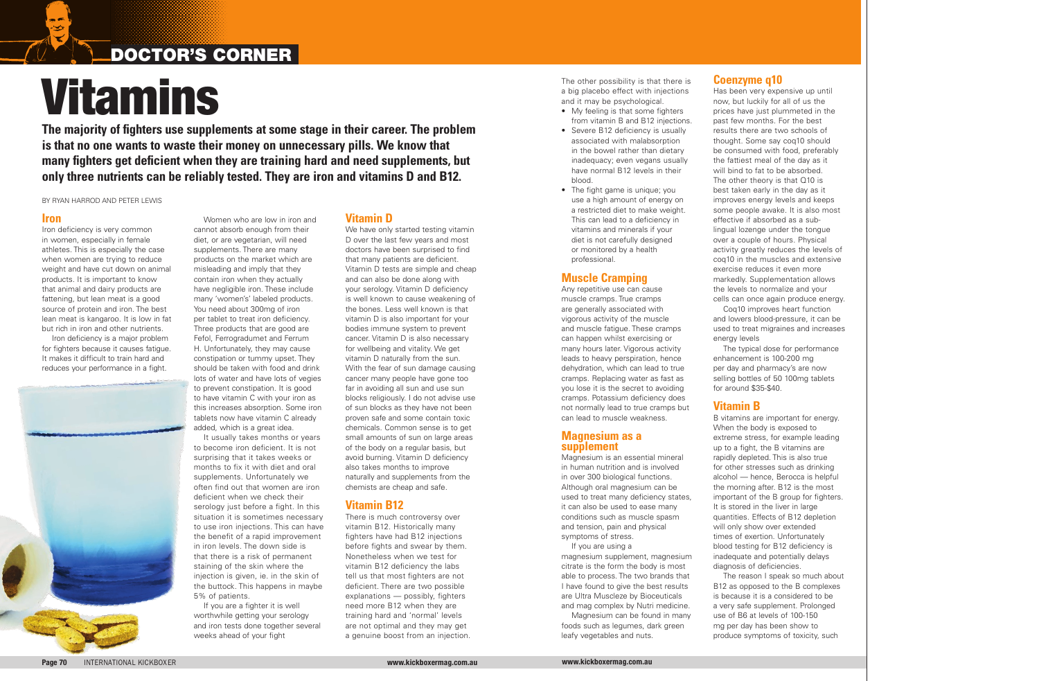### DOCTOR'S CORNER

# Vitamins

#### **Iron**

 $\rightarrow$ 

Iron deficiency is very common in women, especially in female athletes. This is especially the case when women are trying to reduce weight and have cut down on animal products. It is important to know that animal and dairy products are fattening, but lean meat is a good source of protein and iron. The best lean meat is kangaroo. It is low in fat but rich in iron and other nutrients.

Iron deficiency is a major problem for fighters because it causes fatigue. It makes it difficult to train hard and reduces your performance in a fight.



It usually takes months or years to become iron deficient. It is not surprising that it takes weeks or months to fix it with diet and oral supplements. Unfortunately we often find out that women are iron deficient when we check their serology just before a fight. In this situation it is sometimes necessary to use iron injections. This can have the benefit of a rapid improvement in iron levels. The down side is that there is a risk of permanent staining of the skin where the injection is given, ie. in the skin of the buttock. This happens in maybe 5% of patients.

Women who are low in iron and cannot absorb enough from their diet, or are vegetarian, will need supplements. There are many products on the market which are misleading and imply that they contain iron when they actually have negligible iron. These include many 'women's' labeled products. You need about 300mg of iron per tablet to treat iron deficiency. Three products that are good are Fefol, Ferrogradumet and Ferrum H. Unfortunately, they may cause constipation or tummy upset. They should be taken with food and drink lots of water and have lots of vegies to prevent constipation. It is good to have vitamin C with your iron as this increases absorption. Some iron tablets now have vitamin C already added, which is a great idea.

We have only started testing vitamin D over the last few years and most doctors have been surprised to find that many patients are deficient. Vitamin D tests are simple and cheap and can also be done along with your serology. Vitamin D deficiency is well known to cause weakening of the bones. Less well known is that vitamin D is also important for your bodies immune system to prevent cancer. Vitamin D is also necessary for wellbeing and vitality. We get vitamin D naturally from the sun. With the fear of sun damage causing cancer many people have gone too far in avoiding all sun and use sun blocks religiously. I do not advise use of sun blocks as they have not been proven safe and some contain toxic chemicals. Common sense is to get small amounts of sun on large areas of the body on a regular basis, but avoid burning. Vitamin D deficiency also takes months to improve naturally and supplements from the chemists are cheap and safe.

If you are a fighter it is well worthwhile getting your serology and iron tests done together several weeks ahead of your fight

- My feeling is that some fighters from vitamin B and B12 injections.
- Severe B12 deficiency is usually associated with malabsorption in the bowel rather than dietary inadequacy; even vegans usually have normal B12 levels in their blood.
- The fight game is unique; you use a high amount of energy on a restricted diet to make weight. This can lead to a deficiency in vitamins and minerals if your diet is not carefully designed or monitored by a health professional.

#### **Vitamin D**

### **Vitamin B12**

There is much controversy over vitamin B12. Historically many fighters have had B12 injections before fights and swear by them. Nonetheless when we test for vitamin B12 deficiency the labs tell us that most fighters are not deficient. There are two possible explanations — possibly, fighters need more B12 when they are training hard and 'normal' levels are not optimal and they may get a genuine boost from an injection. The other possibility is that there is a big placebo effect with injections and it may be psychological.

### **Muscle Cramping**

Any repetitive use can cause muscle cramps. True cramps are generally associated with vigorous activity of the muscle and muscle fatigue. These cramps can happen whilst exercising or many hours later. Vigorous activity leads to heavy perspiration, hence dehydration, which can lead to true cramps. Replacing water as fast as you lose it is the secret to avoiding cramps. Potassium deficiency does not normally lead to true cramps but can lead to muscle weakness.

#### **Magnesium as a supplement**

Magnesium is an essential mineral in human nutrition and is involved in over 300 biological functions. Although oral magnesium can be used to treat many deficiency states, it can also be used to ease many conditions such as muscle spasm and tension, pain and physical symptoms of stress.

If you are using a magnesium supplement, magnesium citrate is the form the body is most able to process. The two brands that I have found to give the best results are Ultra Muscleze by Bioceuticals and mag complex by Nutri medicine.

Magnesium can be found in many foods such as legumes, dark green leafy vegetables and nuts.

### **Coenzyme q10**

Has been very expensive up until now, but luckily for all of us the prices have just plummeted in the past few months. For the best results there are two schools of thought. Some say coq10 should be consumed with food, preferably the fattiest meal of the day as it will bind to fat to be absorbed. The other theory is that Q10 is best taken early in the day as it improves energy levels and keeps some people awake. It is also most effective if absorbed as a sublingual lozenge under the tongue over a couple of hours. Physical activity greatly reduces the levels of coq10 in the muscles and extensive exercise reduces it even more markedly. Supplementation allows the levels to normalize and your cells can once again produce energy. and lowers blood-pressure, it can be used to treat migraines and increases energy levels

Coq10 improves heart function

The typical dose for performance enhancement is 100-200 mg per day and pharmacy's are now selling bottles of 50 100mg tablets for around \$35-\$40.

### **Vitamin B**

B vitamins are important for energy. When the body is exposed to extreme stress, for example leading up to a fight, the B vitamins are rapidly depleted. This is also true for other stresses such as drinking alcohol — hence, Berocca is helpful the morning after. B12 is the most important of the B group for fighters. It is stored in the liver in large quantities. Effects of B12 depletion will only show over extended times of exertion. Unfortunately blood testing for B12 deficiency is inadequate and potentially delays diagnosis of deficiencies. B12 as opposed to the B complexes is because it is a considered to be a very safe supplement. Prolonged use of B6 at levels of 100-150 mg per day has been show to produce symptoms of toxicity, such

The reason I speak so much about

**The majority of fighters use supplements at some stage in their career. The problem is that no one wants to waste their money on unnecessary pills. We know that many fighters get deficient when they are training hard and need supplements, but only three nutrients can be reliably tested. They are iron and vitamins D and B12.**

#### by ryan harrod and peter lewis